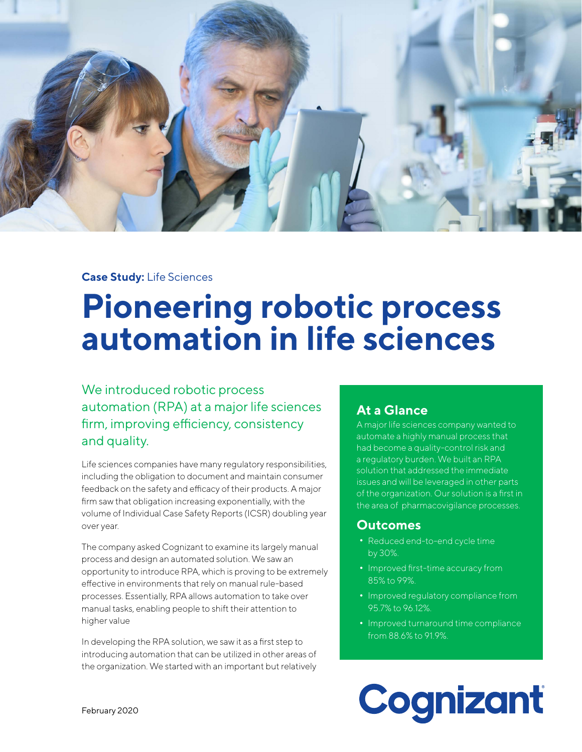

### **Case Study:** Life Sciences

# **Pioneering robotic process automation in life sciences**

## We introduced robotic process automation (RPA) at a major life sciences firm, improving efficiency, consistency and quality.

Life sciences companies have many regulatory responsibilities, including the obligation to document and maintain consumer feedback on the safety and efficacy of their products. A major firm saw that obligation increasing exponentially, with the volume of Individual Case Safety Reports (ICSR) doubling year over year.

The company asked Cognizant to examine its largely manual process and design an automated solution. We saw an opportunity to introduce RPA, which is proving to be extremely effective in environments that rely on manual rule-based processes. Essentially, RPA allows automation to take over manual tasks, enabling people to shift their attention to higher value

In developing the RPA solution, we saw it as a first step to introducing automation that can be utilized in other areas of the organization. We started with an important but relatively

## **At a Glance**

A major life sciences company wanted to automate a highly manual process that had become a quality-control risk and a regulatory burden. We built an RPA solution that addressed the immediate issues and will be leveraged in other parts of the organization. Our solution is a first in the area of pharmacovigilance processes.

#### **Outcomes**

- **•** Reduced end-to-end cycle time by 30%.
- **•** Improved first-time accuracy from 85% to 99%.
- **•** Improved regulatory compliance from 95.7% to 96.12%.
- **•** Improved turnaround time compliance from 88.6% to 91.9%.

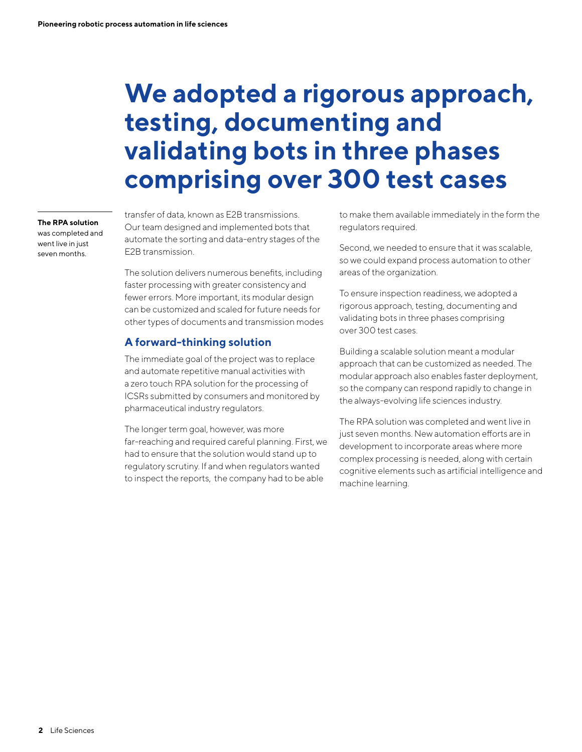## **We adopted a rigorous approach, testing, documenting and validating bots in three phases comprising over 300 test cases**

**The RPA solution**  was completed and went live in just seven months.

transfer of data, known as E2B transmissions. Our team designed and implemented bots that automate the sorting and data-entry stages of the E2B transmission.

The solution delivers numerous benefits, including faster processing with greater consistency and fewer errors. More important, its modular design can be customized and scaled for future needs for other types of documents and transmission modes

### **A forward-thinking solution**

The immediate goal of the project was to replace and automate repetitive manual activities with a zero touch RPA solution for the processing of ICSRs submitted by consumers and monitored by pharmaceutical industry regulators.

The longer term goal, however, was more far-reaching and required careful planning. First, we had to ensure that the solution would stand up to regulatory scrutiny. If and when regulators wanted to inspect the reports, the company had to be able

to make them available immediately in the form the regulators required.

Second, we needed to ensure that it was scalable, so we could expand process automation to other areas of the organization.

To ensure inspection readiness, we adopted a rigorous approach, testing, documenting and validating bots in three phases comprising over 300 test cases.

Building a scalable solution meant a modular approach that can be customized as needed. The modular approach also enables faster deployment, so the company can respond rapidly to change in the always-evolving life sciences industry.

The RPA solution was completed and went live in just seven months. New automation efforts are in development to incorporate areas where more complex processing is needed, along with certain cognitive elements such as artificial intelligence and machine learning.